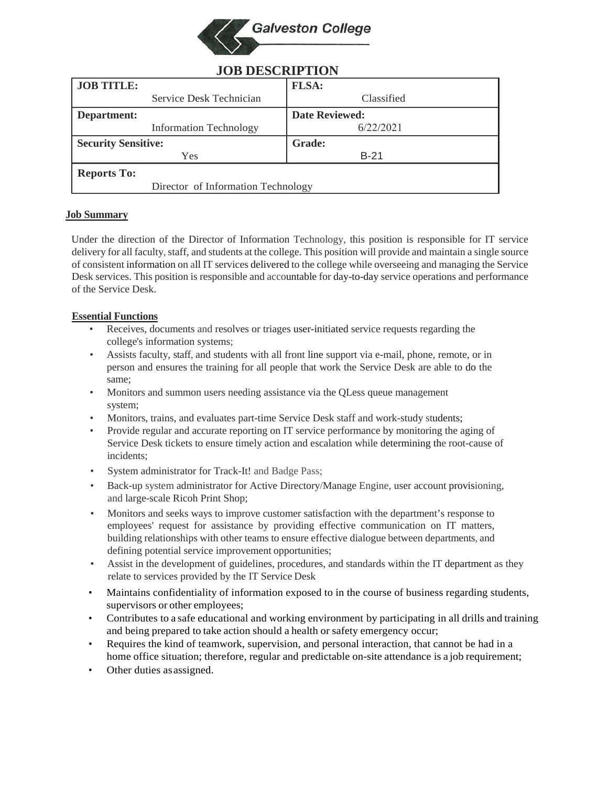

| <b>JOD DESCRII 11011</b>           |                       |
|------------------------------------|-----------------------|
| <b>JOB TITLE:</b>                  | <b>FLSA:</b>          |
| Service Desk Technician            | Classified            |
| Department:                        | <b>Date Reviewed:</b> |
| <b>Information Technology</b>      | 6/22/2021             |
| <b>Security Sensitive:</b>         | <b>Grade:</b>         |
| Yes                                | $B-21$                |
| <b>Reports To:</b>                 |                       |
| Director of Information Technology |                       |

# **JOB DESCRIPTION**

## **Job Summary**

Under the direction of the Director of Information Technology, this position is responsible for IT service delivery for all faculty, staff, and students at the college. This position will provide and maintain a single source of consistent information on all IT services delivered to the college while overseeing and managing the Service Desk services. This position is responsible and accountable for day-to-day service operations and performance of the Service Desk.

## **Essential Functions**

- Receives, documents and resolves or triages user-initiated service requests regarding the college's information systems;
- Assists faculty, staff, and students with all front line support via e-mail, phone, remote, or in person and ensures the training for all people that work the Service Desk are able to do the same;
- Monitors and summon users needing assistance via the QLess queue management system;
- Monitors, trains, and evaluates part-time Service Desk staff and work-study students;
- Provide regular and accurate reporting on IT service performance by monitoring the aging of Service Desk tickets to ensure timely action and escalation while determining the root-cause of incidents;
- System administrator for Track-It! and Badge Pass;
- Back-up system administrator for Active Directory/Manage Engine, user account provisioning, and large-scale Ricoh Print Shop;
- Monitors and seeks ways to improve customer satisfaction with the department's response to employees' request for assistance by providing effective communication on IT matters, building relationships with other teams to ensure effective dialogue between departments, and defining potential service improvement opportunities;
- Assist in the development of guidelines, procedures, and standards within the IT department as they relate to services provided by the IT Service Desk
- Maintains confidentiality of information exposed to in the course of business regarding students, supervisors or other employees;
- Contributes to a safe educational and working environment by participating in all drills and training and being prepared to take action should a health or safety emergency occur;
- Requires the kind of teamwork, supervision, and personal interaction, that cannot be had in a home office situation; therefore, regular and predictable on-site attendance is a job requirement;
- Other duties as assigned.